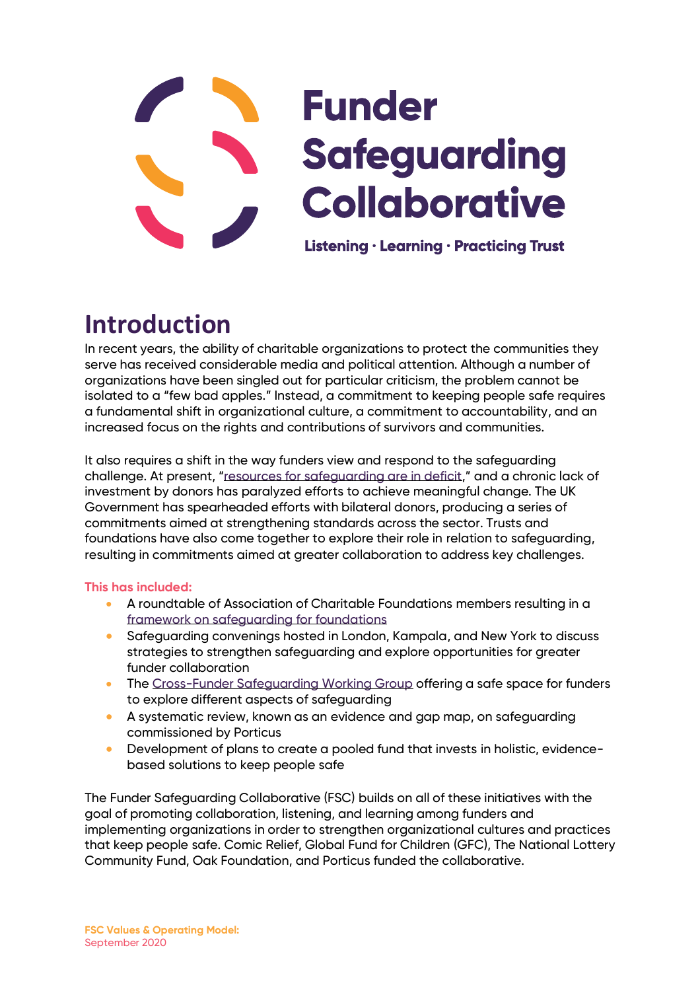# **Funder Safeguarding Collaborative**

Listening · Learning · Practicing Trust

## **Introduction**

In recent years, the ability of charitable organizations to protect the communities they serve has received considerable media and political attention. Although a number of organizations have been singled out for particular criticism, the problem cannot be isolated to a "few bad apples." Instead, a commitment to keeping people safe requires a fundamental shift in organizational culture, a commitment to accountability, and an increased focus on the rights and contributions of survivors and communities.

It also requires a shift in the way funders view and respond to the safeguarding challenge. At present, "[resources for safeguarding are in deficit,](https://publications.parliament.uk/pa/cm201719/cmselect/cmintdev/840/84003.htm)" and a chronic lack of investment by donors has paralyzed efforts to achieve meaningful change. The UK Government has spearheaded efforts with bilateral donors, producing a series of commitments aimed at strengthening standards across the sector. Trusts and foundations have also come together to explore their role in relation to safeguarding, resulting in commitments aimed at greater collaboration to address key challenges.

#### **This has included:**

- A roundtable of Association of Charitable Foundations members resulting in a [framework on safeguarding for foundations](https://www.acf.org.uk/news/acf-launches-new-framework-on-safeguarding-for-foundations)
- Safeguarding convenings hosted in London, Kampala, and New York to discuss strategies to strengthen safeguarding and explore opportunities for greater funder collaboration
- The [Cross-Funder Safeguarding Working Group](https://elevatechildren.org/working-groups/) offering a safe space for funders to explore different aspects of safeguarding
- A systematic review, known as an evidence and gap map, on safeguarding commissioned by Porticus
- Development of plans to create a pooled fund that invests in holistic, evidencebased solutions to keep people safe

The Funder Safeguarding Collaborative (FSC) builds on all of these initiatives with the goal of promoting collaboration, listening, and learning among funders and implementing organizations in order to strengthen organizational cultures and practices that keep people safe. Comic Relief, Global Fund for Children (GFC), The National Lottery Community Fund, Oak Foundation, and Porticus funded the collaborative.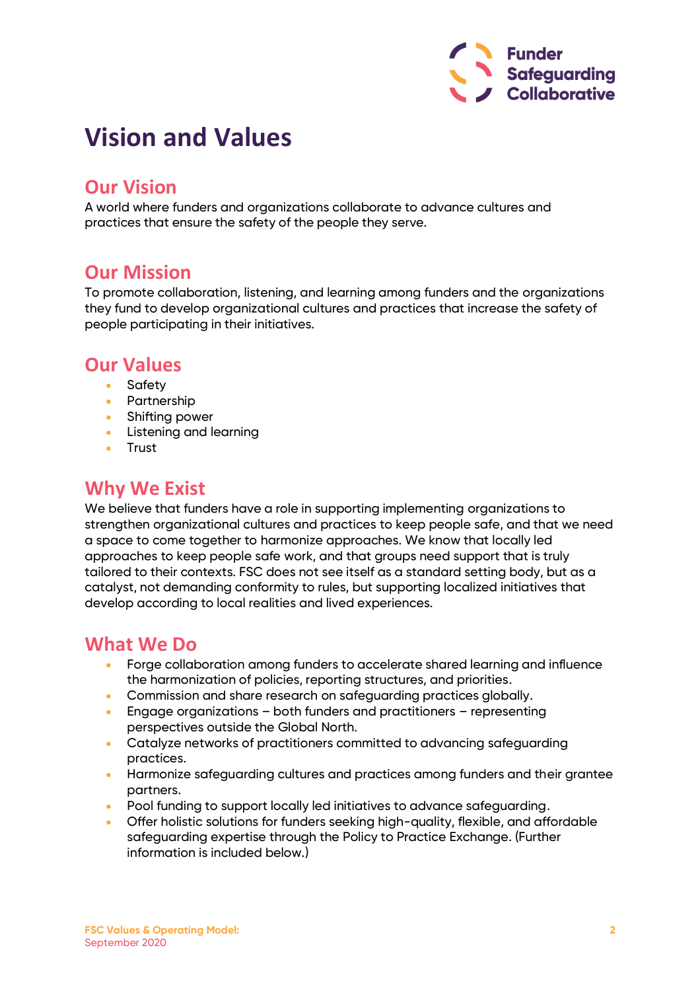

## **Vision and Values**

#### **Our Vision**

A world where funders and organizations collaborate to advance cultures and practices that ensure the safety of the people they serve.

#### **Our Mission**

To promote collaboration, listening, and learning among funders and the organizations they fund to develop organizational cultures and practices that increase the safety of people participating in their initiatives.

#### **Our Values**

- Safety
- Partnership
- Shifting power
- Listening and learning
- Trust

#### **Why We Exist**

We believe that funders have a role in supporting implementing organizations to strengthen organizational cultures and practices to keep people safe, and that we need a space to come together to harmonize approaches. We know that locally led approaches to keep people safe work, and that groups need support that is truly tailored to their contexts. FSC does not see itself as a standard setting body, but as a catalyst, not demanding conformity to rules, but supporting localized initiatives that develop according to local realities and lived experiences.

#### **What We Do**

- Forge collaboration among funders to accelerate shared learning and influence the harmonization of policies, reporting structures, and priorities.
- Commission and share research on safeguarding practices globally.
- Engage organizations both funders and practitioners representing perspectives outside the Global North.
- Catalyze networks of practitioners committed to advancing safeguarding practices.
- Harmonize safeguarding cultures and practices among funders and their grantee partners.
- Pool funding to support locally led initiatives to advance safeguarding.
- Offer holistic solutions for funders seeking high-quality, flexible, and affordable safeguarding expertise through the Policy to Practice Exchange. (Further information is included below.)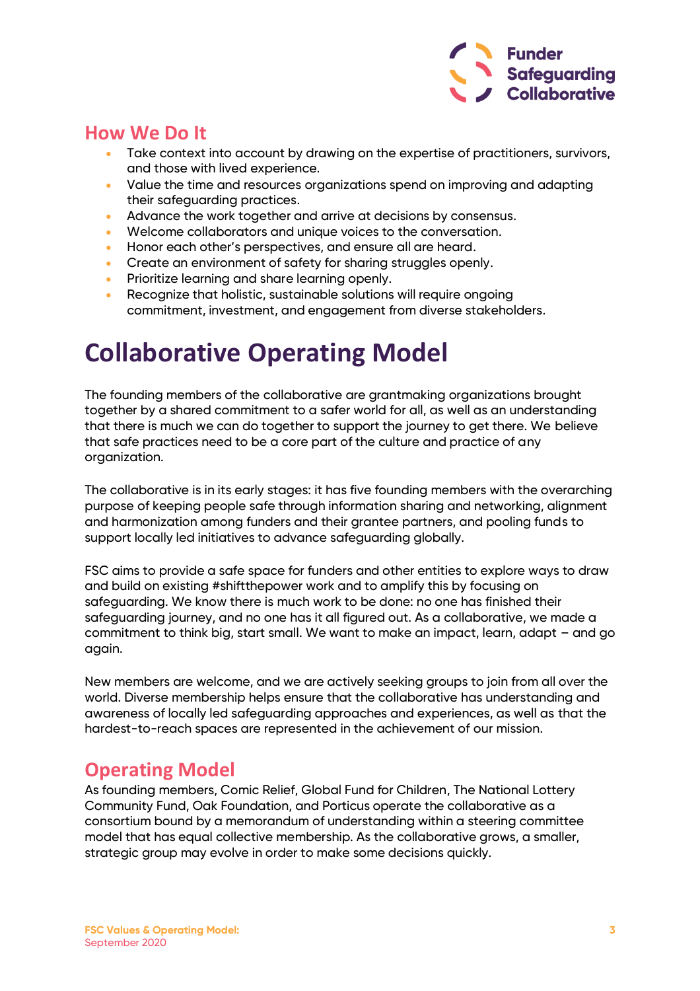

#### **How We Do It**

- Take context into account by drawing on the expertise of practitioners, survivors, and those with lived experience.
- Value the time and resources organizations spend on improving and adapting their safeguarding practices.
- Advance the work together and arrive at decisions by consensus.
- Welcome collaborators and unique voices to the conversation.
- Honor each other's perspectives, and ensure all are heard.
- Create an environment of safety for sharing struggles openly.
- Prioritize learning and share learning openly.
- Recognize that holistic, sustainable solutions will require ongoing commitment, investment, and engagement from diverse stakeholders.

## **Collaborative Operating Model**

The founding members of the collaborative are grantmaking organizations brought together by a shared commitment to a safer world for all, as well as an understanding that there is much we can do together to support the journey to get there. We believe that safe practices need to be a core part of the culture and practice of any organization.

The collaborative is in its early stages: it has five founding members with the overarching purpose of keeping people safe through information sharing and networking, alignment and harmonization among funders and their grantee partners, and pooling funds to support locally led initiatives to advance safeguarding globally.

FSC aims to provide a safe space for funders and other entities to explore ways to draw and build on existing #shiftthepower work and to amplify this by focusing on safeguarding. We know there is much work to be done: no one has finished their safeguarding journey, and no one has it all figured out. As a collaborative, we made a commitment to think big, start small. We want to make an impact, learn, adapt – and go again.

New members are welcome, and we are actively seeking groups to join from all over the world. Diverse membership helps ensure that the collaborative has understanding and awareness of locally led safeguarding approaches and experiences, as well as that the hardest-to-reach spaces are represented in the achievement of our mission.

#### **Operating Model**

As founding members, Comic Relief, Global Fund for Children, The National Lottery Community Fund, Oak Foundation, and Porticus operate the collaborative as a consortium bound by a memorandum of understanding within a steering committee model that has equal collective membership. As the collaborative grows, a smaller, strategic group may evolve in order to make some decisions quickly.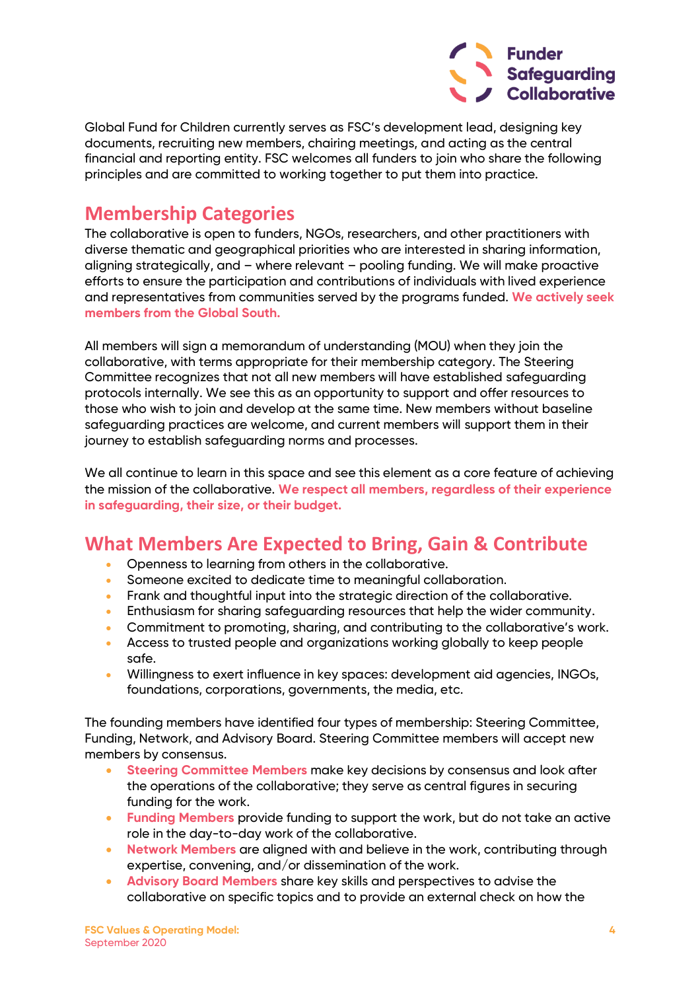

Global Fund for Children currently serves as FSC's development lead, designing key documents, recruiting new members, chairing meetings, and acting as the central financial and reporting entity. FSC welcomes all funders to join who share the following principles and are committed to working together to put them into practice.

#### **Membership Categories**

The collaborative is open to funders, NGOs, researchers, and other practitioners with diverse thematic and geographical priorities who are interested in sharing information, aligning strategically, and – where relevant – pooling funding. We will make proactive efforts to ensure the participation and contributions of individuals with lived experience and representatives from communities served by the programs funded. **We actively seek members from the Global South.**

All members will sign a memorandum of understanding (MOU) when they join the collaborative, with terms appropriate for their membership category. The Steering Committee recognizes that not all new members will have established safeguarding protocols internally. We see this as an opportunity to support and offer resources to those who wish to join and develop at the same time. New members without baseline safeguarding practices are welcome, and current members will support them in their journey to establish safeguarding norms and processes.

We all continue to learn in this space and see this element as a core feature of achieving the mission of the collaborative. **We respect all members, regardless of their experience in safeguarding, their size, or their budget.**

#### **What Members Are Expected to Bring, Gain & Contribute**

- Openness to learning from others in the collaborative.
- Someone excited to dedicate time to meaningful collaboration.
- Frank and thoughtful input into the strategic direction of the collaborative.
- Enthusiasm for sharing safeguarding resources that help the wider community.
- Commitment to promoting, sharing, and contributing to the collaborative's work.
- Access to trusted people and organizations working globally to keep people safe.
- Willingness to exert influence in key spaces: development aid agencies, INGOs, foundations, corporations, governments, the media, etc.

The founding members have identified four types of membership: Steering Committee, Funding, Network, and Advisory Board. Steering Committee members will accept new members by consensus.

- **Steering Committee Members** make key decisions by consensus and look after the operations of the collaborative; they serve as central figures in securing funding for the work.
- **Funding Members** provide funding to support the work, but do not take an active role in the day-to-day work of the collaborative.
- **Network Members** are aligned with and believe in the work, contributing through expertise, convening, and/or dissemination of the work.
- **Advisory Board Members** share key skills and perspectives to advise the collaborative on specific topics and to provide an external check on how the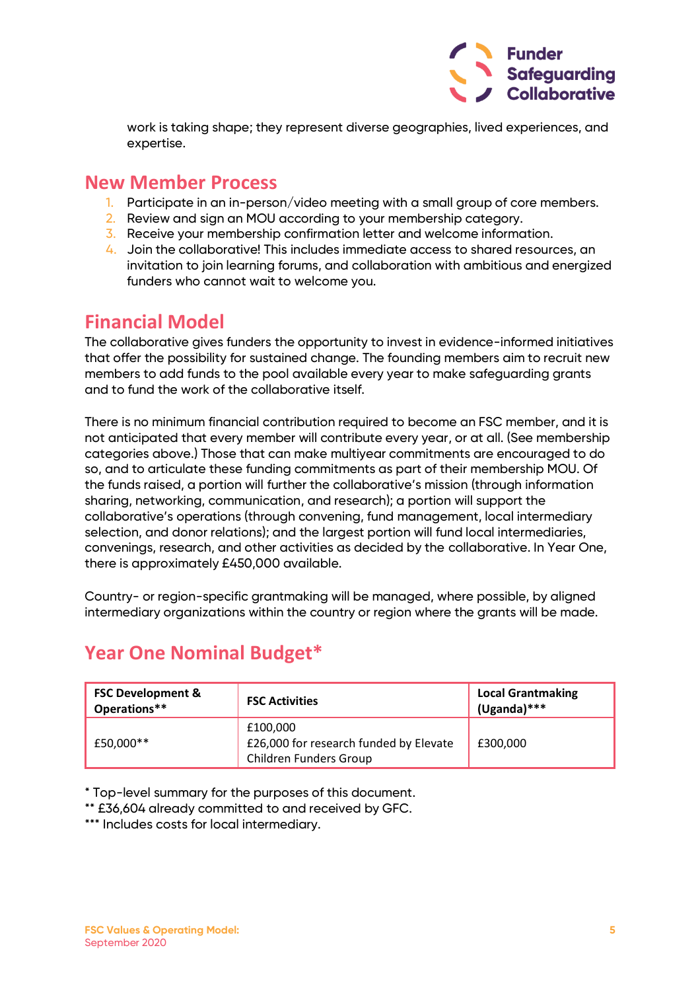

work is taking shape; they represent diverse geographies, lived experiences, and expertise.

#### **New Member Process**

- 1. Participate in an in-person/video meeting with a small group of core members.
- 2. Review and sign an MOU according to your membership category.
- 3. Receive your membership confirmation letter and welcome information.
- 4. Join the collaborative! This includes immediate access to shared resources, an invitation to join learning forums, and collaboration with ambitious and energized funders who cannot wait to welcome you.

#### **Financial Model**

The collaborative gives funders the opportunity to invest in evidence-informed initiatives that offer the possibility for sustained change. The founding members aim to recruit new members to add funds to the pool available every year to make safeguarding grants and to fund the work of the collaborative itself.

There is no minimum financial contribution required to become an FSC member, and it is not anticipated that every member will contribute every year, or at all. (See membership categories above.) Those that can make multiyear commitments are encouraged to do so, and to articulate these funding commitments as part of their membership MOU. Of the funds raised, a portion will further the collaborative's mission (through information sharing, networking, communication, and research); a portion will support the collaborative's operations (through convening, fund management, local intermediary selection, and donor relations); and the largest portion will fund local intermediaries, convenings, research, and other activities as decided by the collaborative. In Year One, there is approximately £450,000 available.

Country- or region-specific grantmaking will be managed, where possible, by aligned intermediary organizations within the country or region where the grants will be made.

| <b>FSC Development &amp;</b><br>Operations** | <b>FSC Activities</b>                                                        | <b>Local Grantmaking</b><br>$(Uganda)***$ |
|----------------------------------------------|------------------------------------------------------------------------------|-------------------------------------------|
| £50,000**                                    | £100.000<br>£26,000 for research funded by Elevate<br>Children Funders Group | £300,000                                  |

### **Year One Nominal Budget\***

\* Top-level summary for the purposes of this document.

\*\* £36,604 already committed to and received by GFC.

\*\*\* Includes costs for local intermediary.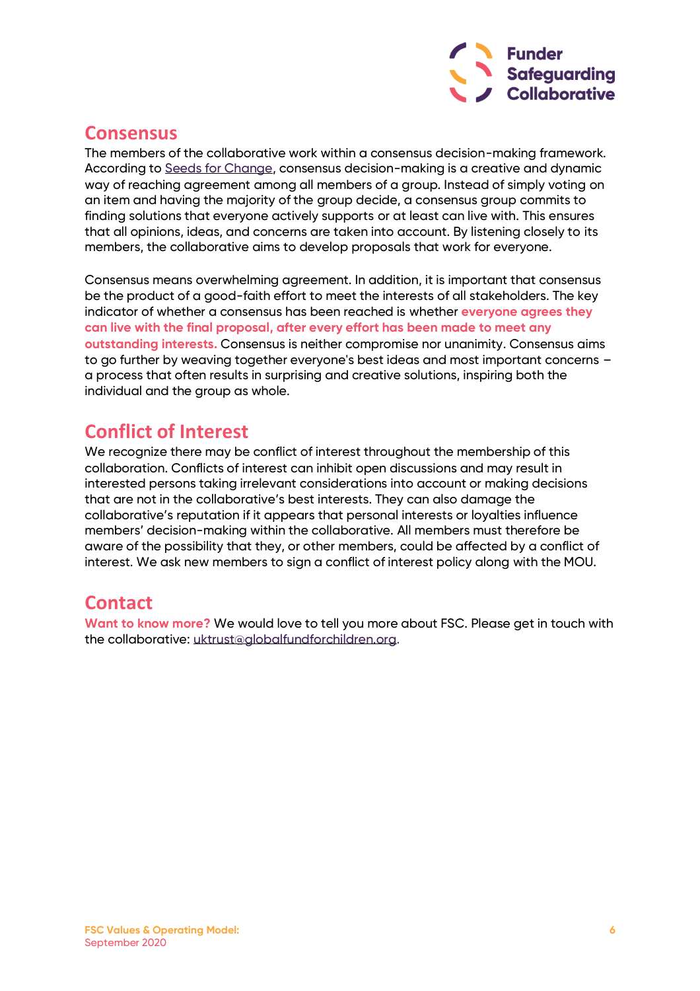

#### **Consensus**

The members of the collaborative work within a consensus decision-making framework. According to [Seeds for Change,](https://www.seedsforchange.org.uk/shortconsensus) consensus decision-making is a creative and dynamic way of reaching agreement among all members of a group. Instead of simply voting on an item and having the majority of the group decide, a consensus group commits to finding solutions that everyone actively supports or at least can live with. This ensures that all opinions, ideas, and concerns are taken into account. By listening closely to its members, the collaborative aims to develop proposals that work for everyone.

Consensus means overwhelming agreement. In addition, it is important that consensus be the product of a good-faith effort to meet the interests of all stakeholders. The key indicator of whether a consensus has been reached is whether **everyone agrees they can live with the final proposal, after every effort has been made to meet any outstanding interests.** Consensus is neither compromise nor unanimity. Consensus aims to go further by weaving together everyone's best ideas and most important concerns – a process that often results in surprising and creative solutions, inspiring both the individual and the group as whole.

#### **Conflict of Interest**

We recognize there may be conflict of interest throughout the membership of this collaboration. Conflicts of interest can inhibit open discussions and may result in interested persons taking irrelevant considerations into account or making decisions that are not in the collaborative's best interests. They can also damage the collaborative's reputation if it appears that personal interests or loyalties influence members' decision-making within the collaborative. All members must therefore be aware of the possibility that they, or other members, could be affected by a conflict of interest. We ask new members to sign a conflict of interest policy along with the MOU.

#### **Contact**

**Want to know more?** We would love to tell you more about FSC. Please get in touch with the collaborative: [uktrust@globalfundforchildren.org](mailto:uktrust@globalfundforchildren.org).